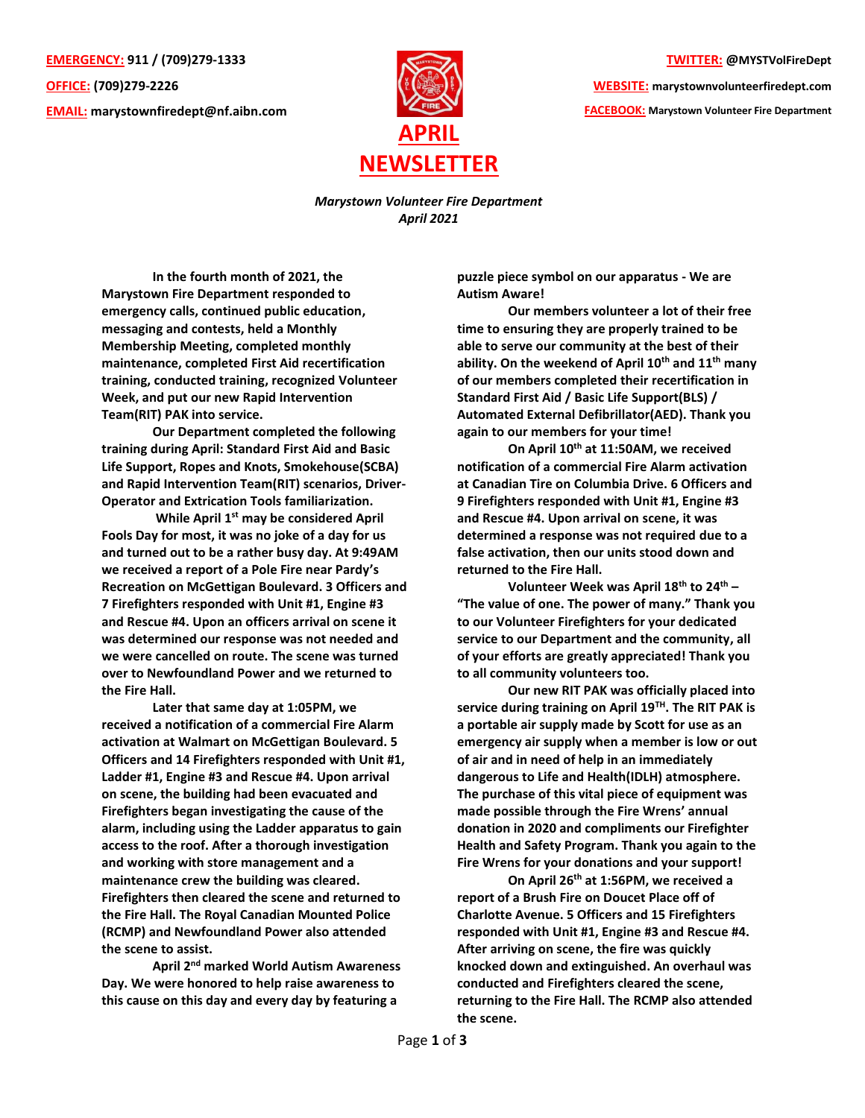**EMERGENCY: 911 / (709)279-1333 OFFICE: (709)279-2226 EMAIL: [marystownfiredept@nf.aibn.com](mailto:marystownfiredept@nf.aibn.com)**



**TWITTER: @MYSTVolFireDept**

**WEBSITE: marystownvolunteerfiredept.com FACEBOOK: Marystown Volunteer Fire Department**

*Marystown Volunteer Fire Department April 2021*

**In the fourth month of 2021, the Marystown Fire Department responded to emergency calls, continued public education, messaging and contests, held a Monthly Membership Meeting, completed monthly maintenance, completed First Aid recertification training, conducted training, recognized Volunteer Week, and put our new Rapid Intervention Team(RIT) PAK into service.** 

**Our Department completed the following training during April: Standard First Aid and Basic Life Support, Ropes and Knots, Smokehouse(SCBA) and Rapid Intervention Team(RIT) scenarios, Driver-Operator and Extrication Tools familiarization.** 

**While April 1st may be considered April Fools Day for most, it was no joke of a day for us and turned out to be a rather busy day. At 9:49AM we received a report of a Pole Fire near Pardy's Recreation on McGettigan Boulevard. 3 Officers and 7 Firefighters responded with Unit #1, Engine #3 and Rescue #4. Upon an officers arrival on scene it was determined our response was not needed and we were cancelled on route. The scene was turned over to Newfoundland Power and we returned to the Fire Hall.** 

**Later that same day at 1:05PM, we received a notification of a commercial Fire Alarm activation at Walmart on McGettigan Boulevard. 5 Officers and 14 Firefighters responded with Unit #1, Ladder #1, Engine #3 and Rescue #4. Upon arrival on scene, the building had been evacuated and Firefighters began investigating the cause of the alarm, including using the Ladder apparatus to gain access to the roof. After a thorough investigation and working with store management and a maintenance crew the building was cleared. Firefighters then cleared the scene and returned to the Fire Hall. The Royal Canadian Mounted Police (RCMP) and Newfoundland Power also attended the scene to assist.** 

**April 2nd marked World Autism Awareness Day. We were honored to help raise awareness to this cause on this day and every day by featuring a** 

**puzzle piece symbol on our apparatus - We are Autism Aware!**

**Our members volunteer a lot of their free time to ensuring they are properly trained to be able to serve our community at the best of their ability. On the weekend of April 10th and 11th many of our members completed their recertification in Standard First Aid / Basic Life Support(BLS) / Automated External Defibrillator(AED). Thank you again to our members for your time!**

**On April 10th at 11:50AM, we received notification of a commercial Fire Alarm activation at Canadian Tire on Columbia Drive. 6 Officers and 9 Firefighters responded with Unit #1, Engine #3 and Rescue #4. Upon arrival on scene, it was determined a response was not required due to a false activation, then our units stood down and returned to the Fire Hall.** 

**Volunteer Week was April 18th to 24th – "The value of one. The power of many." Thank you to our Volunteer Firefighters for your dedicated service to our Department and the community, all of your efforts are greatly appreciated! Thank you to all community volunteers too.**

**Our new RIT PAK was officially placed into service during training on April 19TH. The RIT PAK is a portable air supply made by Scott for use as an emergency air supply when a member is low or out of air and in need of help in an immediately dangerous to Life and Health(IDLH) atmosphere. The purchase of this vital piece of equipment was made possible through the Fire Wrens' annual donation in 2020 and compliments our Firefighter Health and Safety Program. Thank you again to the Fire Wrens for your donations and your support!**

**On April 26th at 1:56PM, we received a report of a Brush Fire on Doucet Place off of Charlotte Avenue. 5 Officers and 15 Firefighters responded with Unit #1, Engine #3 and Rescue #4. After arriving on scene, the fire was quickly knocked down and extinguished. An overhaul was conducted and Firefighters cleared the scene, returning to the Fire Hall. The RCMP also attended the scene.**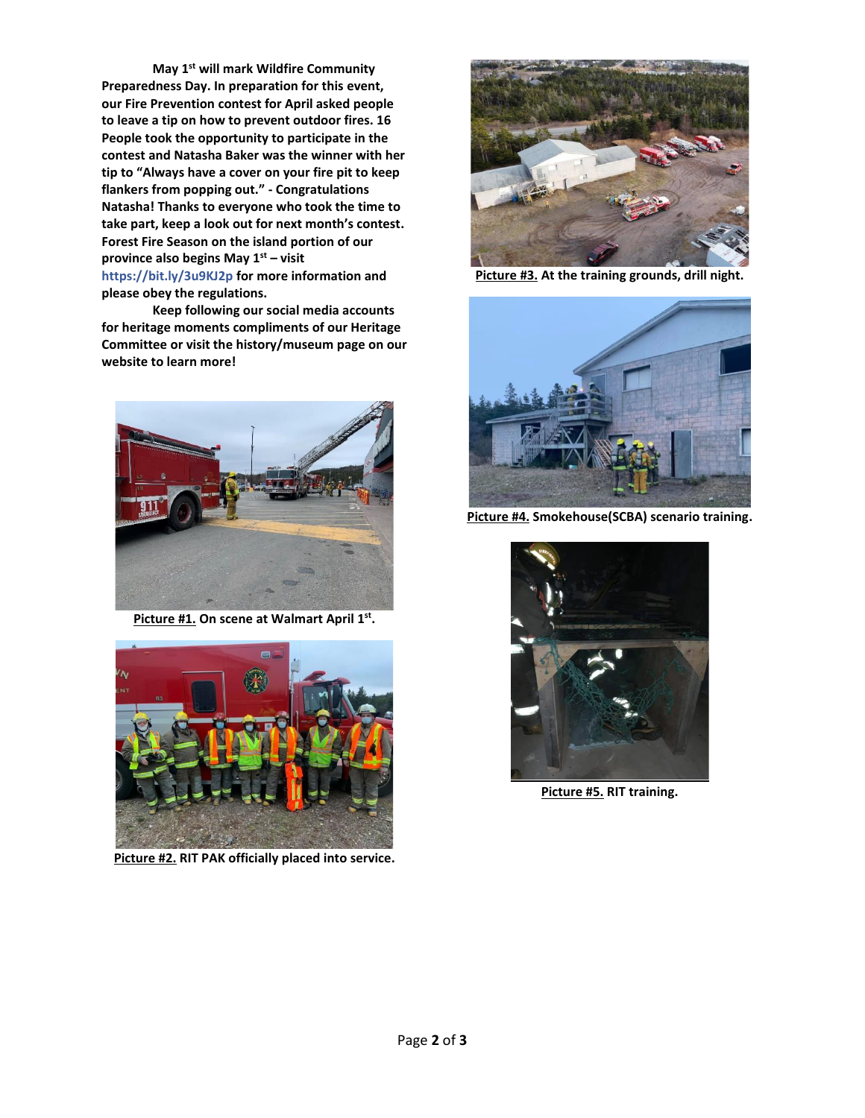**May 1st will mark Wildfire Community Preparedness Day. In preparation for this event, our Fire Prevention contest for April asked people to leave a tip on how to prevent outdoor fires. 16 People took the opportunity to participate in the contest and Natasha Baker was the winner with her tip to "Always have a cover on your fire pit to keep flankers from popping out." - Congratulations Natasha! Thanks to everyone who took the time to take part, keep a look out for next month's contest. Forest Fire Season on the island portion of our province also begins May 1st – visit <https://bit.ly/3u9KJ2p> for more information and please obey the regulations.**

**Keep following our social media accounts for heritage moments compliments of our Heritage Committee or visit the history/museum page on our website to learn more!**



**Picture #1. On scene at Walmart April 1st .**



**Picture #2. RIT PAK officially placed into service.**



**Picture #3. At the training grounds, drill night.**



**Picture #4. Smokehouse(SCBA) scenario training.**



**Picture #5. RIT training.**